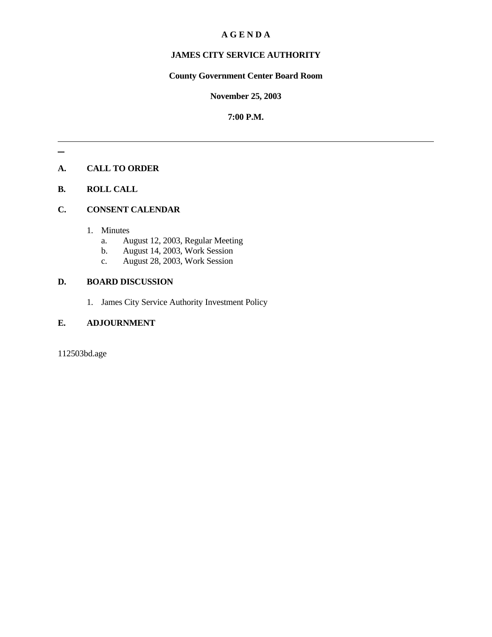## **A G E N D A**

## **JAMES CITY SERVICE AUTHORITY**

### **County Government Center Board Room**

#### **November 25, 2003**

#### **7:00 P.M.**

## **A. CALL TO ORDER**

## **B. ROLL CALL**

#### **C. CONSENT CALENDAR**

- 1. Minutes
	- a. August 12, 2003, Regular Meeting
	- b. August 14, 2003, Work Session
	- c. August 28, 2003, Work Session

### **D. BOARD DISCUSSION**

1. James City Service Authority Investment Policy

## **E. ADJOURNMENT**

112503bd.age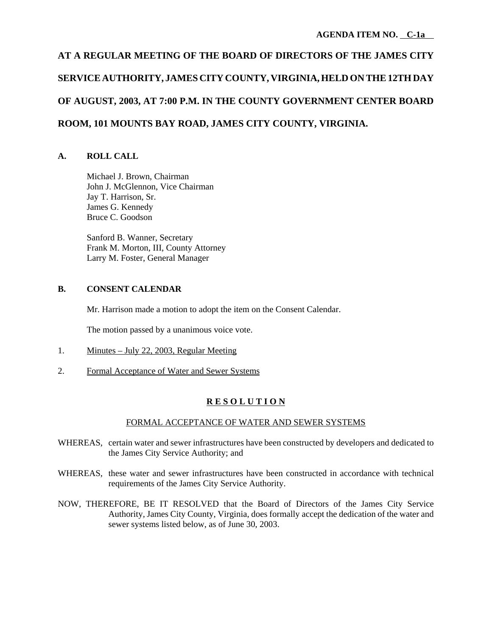# **AT A REGULAR MEETING OF THE BOARD OF DIRECTORS OF THE JAMES CITY SERVICE AUTHORITY, JAMES CITY COUNTY, VIRGINIA, HELD ON THE 12TH DAY OF AUGUST, 2003, AT 7:00 P.M. IN THE COUNTY GOVERNMENT CENTER BOARD ROOM, 101 MOUNTS BAY ROAD, JAMES CITY COUNTY, VIRGINIA.**

#### **A. ROLL CALL**

Michael J. Brown, Chairman John J. McGlennon, Vice Chairman Jay T. Harrison, Sr. James G. Kennedy Bruce C. Goodson

Sanford B. Wanner, Secretary Frank M. Morton, III, County Attorney Larry M. Foster, General Manager

#### **B. CONSENT CALENDAR**

Mr. Harrison made a motion to adopt the item on the Consent Calendar.

The motion passed by a unanimous voice vote.

- 1. Minutes July 22, 2003, Regular Meeting
- 2. Formal Acceptance of Water and Sewer Systems

## **R E S O L U T I O N**

#### FORMAL ACCEPTANCE OF WATER AND SEWER SYSTEMS

- WHEREAS, certain water and sewer infrastructures have been constructed by developers and dedicated to the James City Service Authority; and
- WHEREAS, these water and sewer infrastructures have been constructed in accordance with technical requirements of the James City Service Authority.
- NOW, THEREFORE, BE IT RESOLVED that the Board of Directors of the James City Service Authority, James City County, Virginia, does formally accept the dedication of the water and sewer systems listed below, as of June 30, 2003.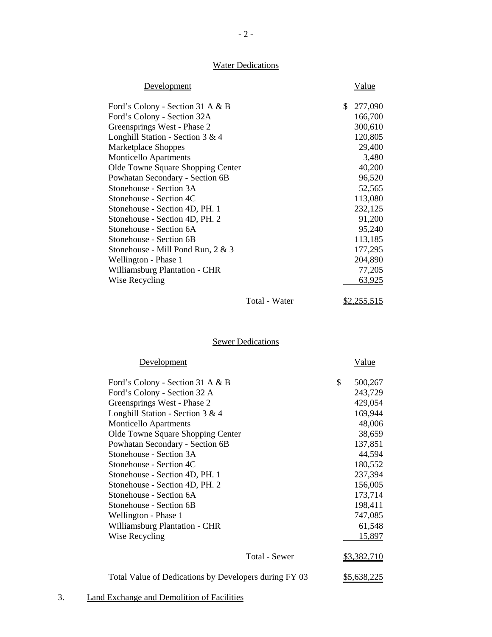# **Water Dedications**

| Development                          |               | Value         |
|--------------------------------------|---------------|---------------|
| Ford's Colony - Section 31 A & B     |               | \$<br>277,090 |
| Ford's Colony - Section 32A          |               | 166,700       |
| Greensprings West - Phase 2          |               | 300,610       |
| Longhill Station - Section 3 & 4     |               | 120,805       |
| Marketplace Shoppes                  |               | 29,400        |
| <b>Monticello Apartments</b>         |               | 3,480         |
| Olde Towne Square Shopping Center    |               | 40,200        |
| Powhatan Secondary - Section 6B      |               | 96,520        |
| Stonehouse - Section 3A              |               | 52,565        |
| Stonehouse - Section 4C              |               | 113,080       |
| Stonehouse - Section 4D, PH. 1       |               | 232,125       |
| Stonehouse - Section 4D, PH. 2       |               | 91,200        |
| Stonehouse - Section 6A              |               | 95,240        |
| Stonehouse - Section 6B              |               | 113,185       |
| Stonehouse - Mill Pond Run, 2 & 3    |               | 177,295       |
| Wellington - Phase 1                 |               | 204,890       |
| <b>Williamsburg Plantation - CHR</b> |               | 77,205        |
| Wise Recycling                       |               | 63,925        |
|                                      | Total - Water | \$2,255,515   |

# **Sewer Dedications**

| Development                                           | Value              |
|-------------------------------------------------------|--------------------|
| Ford's Colony - Section 31 A & B                      | \$<br>500,267      |
| Ford's Colony - Section 32 A                          | 243,729            |
| Greensprings West - Phase 2                           | 429,054            |
| Longhill Station - Section 3 & 4                      | 169,944            |
| Monticello Apartments                                 | 48,006             |
| Olde Towne Square Shopping Center                     | 38,659             |
| Powhatan Secondary - Section 6B                       | 137,851            |
| Stonehouse - Section 3A                               | 44,594             |
| Stonehouse - Section 4C                               | 180,552            |
| Stonehouse - Section 4D, PH. 1                        | 237,394            |
| Stonehouse - Section 4D, PH. 2                        | 156,005            |
| Stonehouse - Section 6A                               | 173,714            |
| Stonehouse - Section 6B                               | 198,411            |
| Wellington - Phase 1                                  | 747,085            |
| <b>Williamsburg Plantation - CHR</b>                  | 61,548             |
| Wise Recycling                                        | 15,897             |
| Total - Sewer                                         | \$3,382,710        |
| Total Value of Dedications by Developers during FY 03 | <u>\$5,638,225</u> |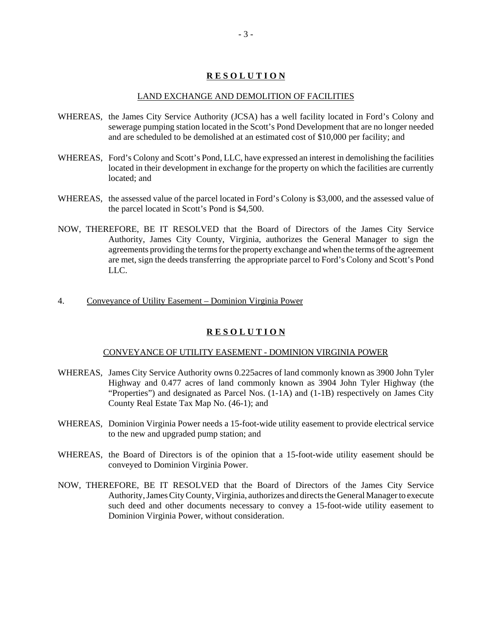#### **R E S O L U T I O N**

#### LAND EXCHANGE AND DEMOLITION OF FACILITIES

- WHEREAS, the James City Service Authority (JCSA) has a well facility located in Ford's Colony and sewerage pumping station located in the Scott's Pond Development that are no longer needed and are scheduled to be demolished at an estimated cost of \$10,000 per facility; and
- WHEREAS, Ford's Colony and Scott's Pond, LLC, have expressed an interest in demolishing the facilities located in their development in exchange for the property on which the facilities are currently located; and
- WHEREAS, the assessed value of the parcel located in Ford's Colony is \$3,000, and the assessed value of the parcel located in Scott's Pond is \$4,500.
- NOW, THEREFORE, BE IT RESOLVED that the Board of Directors of the James City Service Authority, James City County, Virginia, authorizes the General Manager to sign the agreements providing the terms for the property exchange and when the terms of the agreement are met, sign the deeds transferring the appropriate parcel to Ford's Colony and Scott's Pond LLC.
- 4. Conveyance of Utility Easement Dominion Virginia Power

#### **R E S O L U T I O N**

#### CONVEYANCE OF UTILITY EASEMENT - DOMINION VIRGINIA POWER

- WHEREAS, James City Service Authority owns 0.225acres of land commonly known as 3900 John Tyler Highway and 0.477 acres of land commonly known as 3904 John Tyler Highway (the "Properties") and designated as Parcel Nos. (1-1A) and (1-1B) respectively on James City County Real Estate Tax Map No. (46-1); and
- WHEREAS, Dominion Virginia Power needs a 15-foot-wide utility easement to provide electrical service to the new and upgraded pump station; and
- WHEREAS, the Board of Directors is of the opinion that a 15-foot-wide utility easement should be conveyed to Dominion Virginia Power.
- NOW, THEREFORE, BE IT RESOLVED that the Board of Directors of the James City Service Authority, James City County, Virginia, authorizes and directs the General Manager to execute such deed and other documents necessary to convey a 15-foot-wide utility easement to Dominion Virginia Power, without consideration.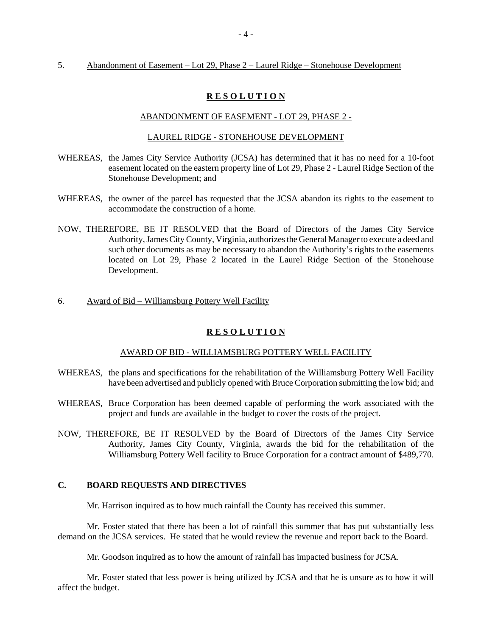#### 5. Abandonment of Easement – Lot 29, Phase 2 – Laurel Ridge – Stonehouse Development

#### **R E S O L U T I O N**

#### ABANDONMENT OF EASEMENT - LOT 29, PHASE 2 -

#### LAUREL RIDGE - STONEHOUSE DEVELOPMENT

- WHEREAS, the James City Service Authority (JCSA) has determined that it has no need for a 10-foot easement located on the eastern property line of Lot 29, Phase 2 - Laurel Ridge Section of the Stonehouse Development; and
- WHEREAS, the owner of the parcel has requested that the JCSA abandon its rights to the easement to accommodate the construction of a home.
- NOW, THEREFORE, BE IT RESOLVED that the Board of Directors of the James City Service Authority, James City County, Virginia, authorizes the General Manager to execute a deed and such other documents as may be necessary to abandon the Authority's rights to the easements located on Lot 29, Phase 2 located in the Laurel Ridge Section of the Stonehouse Development.
- 6. Award of Bid Williamsburg Pottery Well Facility

#### **R E S O L U T I O N**

#### AWARD OF BID - WILLIAMSBURG POTTERY WELL FACILITY

- WHEREAS, the plans and specifications for the rehabilitation of the Williamsburg Pottery Well Facility have been advertised and publicly opened with Bruce Corporation submitting the low bid; and
- WHEREAS, Bruce Corporation has been deemed capable of performing the work associated with the project and funds are available in the budget to cover the costs of the project.
- NOW, THEREFORE, BE IT RESOLVED by the Board of Directors of the James City Service Authority, James City County, Virginia, awards the bid for the rehabilitation of the Williamsburg Pottery Well facility to Bruce Corporation for a contract amount of \$489,770.

#### **C. BOARD REQUESTS AND DIRECTIVES**

Mr. Harrison inquired as to how much rainfall the County has received this summer.

Mr. Foster stated that there has been a lot of rainfall this summer that has put substantially less demand on the JCSA services. He stated that he would review the revenue and report back to the Board.

Mr. Goodson inquired as to how the amount of rainfall has impacted business for JCSA.

Mr. Foster stated that less power is being utilized by JCSA and that he is unsure as to how it will affect the budget.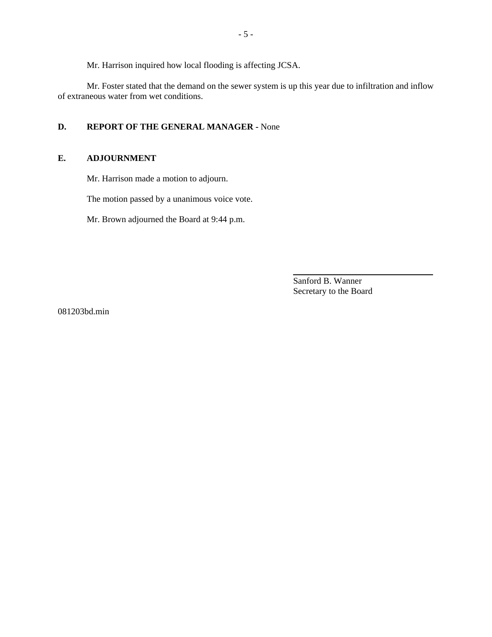Mr. Harrison inquired how local flooding is affecting JCSA.

Mr. Foster stated that the demand on the sewer system is up this year due to infiltration and inflow of extraneous water from wet conditions.

## **D. REPORT OF THE GENERAL MANAGER -** None

#### **E. ADJOURNMENT**

Mr. Harrison made a motion to adjourn.

The motion passed by a unanimous voice vote.

Mr. Brown adjourned the Board at 9:44 p.m.

Sanford B. Wanner Secretary to the Board

l

081203bd.min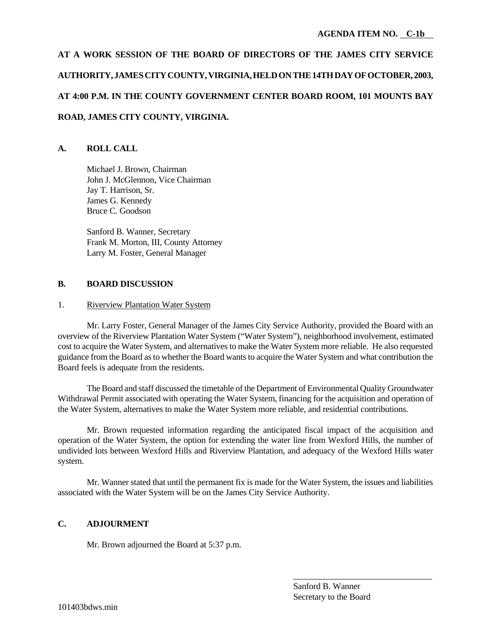# **AT A WORK SESSION OF THE BOARD OF DIRECTORS OF THE JAMES CITY SERVICE AUTHORITY, JAMES CITY COUNTY, VIRGINIA, HELD ON THE 14TH DAY OF OCTOBER, 2003, AT 4:00 P.M. IN THE COUNTY GOVERNMENT CENTER BOARD ROOM, 101 MOUNTS BAY ROAD, JAMES CITY COUNTY, VIRGINIA.**

## **A. ROLL CALL**

Michael J. Brown, Chairman John J. McGlennon, Vice Chairman Jay T. Harrison, Sr. James G. Kennedy Bruce C. Goodson

Sanford B. Wanner, Secretary Frank M. Morton, III, County Attorney Larry M. Foster, General Manager

### **B. BOARD DISCUSSION**

### 1. Riverview Plantation Water System

Mr. Larry Foster, General Manager of the James City Service Authority, provided the Board with an overview of the Riverview Plantation Water System ("Water System"), neighborhood involvement, estimated cost to acquire the Water System, and alternatives to make the Water System more reliable. He also requested guidance from the Board as to whether the Board wants to acquire the Water System and what contribution the Board feels is adequate from the residents.

The Board and staff discussed the timetable of the Department of Environmental Quality Groundwater Withdrawal Permit associated with operating the Water System, financing for the acquisition and operation of the Water System, alternatives to make the Water System more reliable, and residential contributions.

Mr. Brown requested information regarding the anticipated fiscal impact of the acquisition and operation of the Water System, the option for extending the water line from Wexford Hills, the number of undivided lots between Wexford Hills and Riverview Plantation, and adequacy of the Wexford Hills water system.

Mr. Wanner stated that until the permanent fix is made for the Water System, the issues and liabilities associated with the Water System will be on the James City Service Authority.

## **C. ADJOURMENT**

Mr. Brown adjourned the Board at 5:37 p.m.

\_\_\_\_\_\_\_\_\_\_\_\_\_\_\_\_\_\_\_\_\_\_\_\_\_\_\_\_\_\_\_\_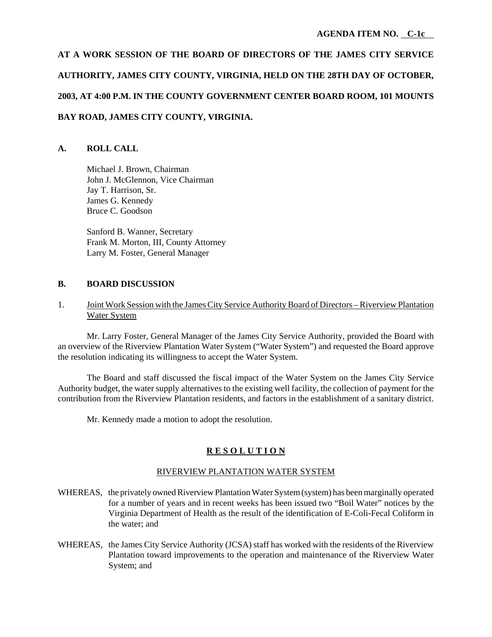# **AT A WORK SESSION OF THE BOARD OF DIRECTORS OF THE JAMES CITY SERVICE AUTHORITY, JAMES CITY COUNTY, VIRGINIA, HELD ON THE 28TH DAY OF OCTOBER, 2003, AT 4:00 P.M. IN THE COUNTY GOVERNMENT CENTER BOARD ROOM, 101 MOUNTS BAY ROAD, JAMES CITY COUNTY, VIRGINIA.**

## **A. ROLL CALL**

Michael J. Brown, Chairman John J. McGlennon, Vice Chairman Jay T. Harrison, Sr. James G. Kennedy Bruce C. Goodson

Sanford B. Wanner, Secretary Frank M. Morton, III, County Attorney Larry M. Foster, General Manager

#### **B. BOARD DISCUSSION**

## 1. Joint Work Session with the James City Service Authority Board of Directors – Riverview Plantation Water System

Mr. Larry Foster, General Manager of the James City Service Authority, provided the Board with an overview of the Riverview Plantation Water System ("Water System") and requested the Board approve the resolution indicating its willingness to accept the Water System.

The Board and staff discussed the fiscal impact of the Water System on the James City Service Authority budget, the water supply alternatives to the existing well facility, the collection of payment for the contribution from the Riverview Plantation residents, and factors in the establishment of a sanitary district.

Mr. Kennedy made a motion to adopt the resolution.

## **R E S O L U T I O N**

## RIVERVIEW PLANTATION WATER SYSTEM

- WHEREAS, the privately owned Riverview Plantation Water System (system) has been marginally operated for a number of years and in recent weeks has been issued two "Boil Water" notices by the Virginia Department of Health as the result of the identification of E-Coli-Fecal Coliform in the water; and
- WHEREAS, the James City Service Authority (JCSA) staff has worked with the residents of the Riverview Plantation toward improvements to the operation and maintenance of the Riverview Water System; and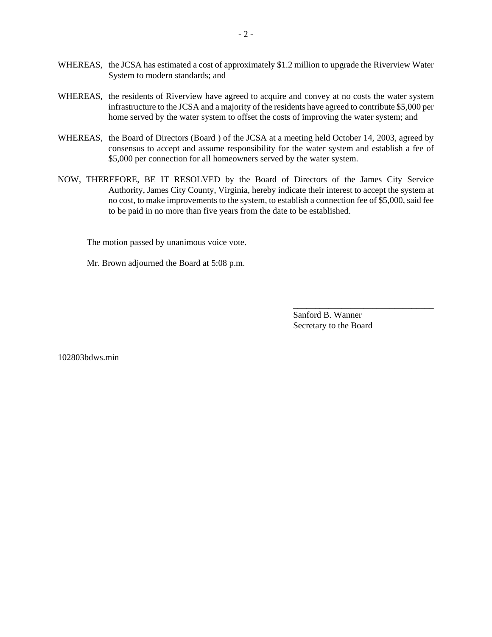- WHEREAS, the JCSA has estimated a cost of approximately \$1.2 million to upgrade the Riverview Water System to modern standards; and
- WHEREAS, the residents of Riverview have agreed to acquire and convey at no costs the water system infrastructure to the JCSA and a majority of the residents have agreed to contribute \$5,000 per home served by the water system to offset the costs of improving the water system; and
- WHEREAS, the Board of Directors (Board ) of the JCSA at a meeting held October 14, 2003, agreed by consensus to accept and assume responsibility for the water system and establish a fee of \$5,000 per connection for all homeowners served by the water system.
- NOW, THEREFORE, BE IT RESOLVED by the Board of Directors of the James City Service Authority, James City County, Virginia, hereby indicate their interest to accept the system at no cost, to make improvements to the system, to establish a connection fee of \$5,000, said fee to be paid in no more than five years from the date to be established.

The motion passed by unanimous voice vote.

Mr. Brown adjourned the Board at 5:08 p.m.

Sanford B. Wanner Secretary to the Board

\_\_\_\_\_\_\_\_\_\_\_\_\_\_\_\_\_\_\_\_\_\_\_\_\_\_\_\_\_\_\_\_

102803bdws.min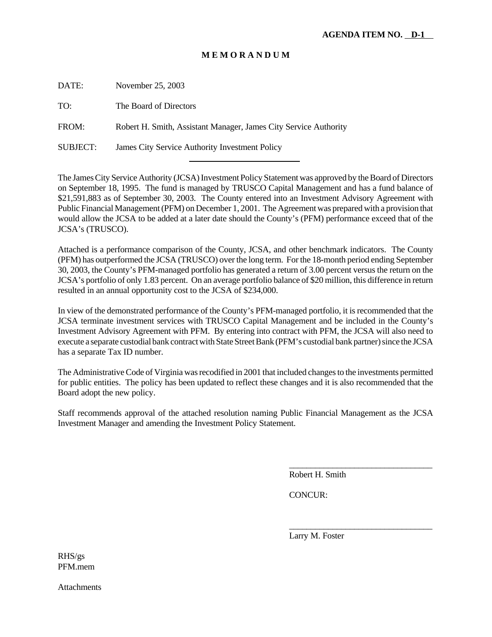## **M E M O R A N D U M**

DATE: November 25, 2003

TO: The Board of Directors

FROM: Robert H. Smith, Assistant Manager, James City Service Authority

l

SUBJECT: James City Service Authority Investment Policy

The James City Service Authority (JCSA) Investment Policy Statement was approved by the Board of Directors on September 18, 1995. The fund is managed by TRUSCO Capital Management and has a fund balance of \$21,591,883 as of September 30, 2003. The County entered into an Investment Advisory Agreement with Public Financial Management (PFM) on December 1, 2001. The Agreement was prepared with a provision that would allow the JCSA to be added at a later date should the County's (PFM) performance exceed that of the JCSA's (TRUSCO).

Attached is a performance comparison of the County, JCSA, and other benchmark indicators. The County (PFM) has outperformed the JCSA (TRUSCO) over the long term. For the 18-month period ending September 30, 2003, the County's PFM-managed portfolio has generated a return of 3.00 percent versus the return on the JCSA's portfolio of only 1.83 percent. On an average portfolio balance of \$20 million, this difference in return resulted in an annual opportunity cost to the JCSA of \$234,000.

In view of the demonstrated performance of the County's PFM-managed portfolio, it is recommended that the JCSA terminate investment services with TRUSCO Capital Management and be included in the County's Investment Advisory Agreement with PFM. By entering into contract with PFM, the JCSA will also need to execute a separate custodial bank contract with State Street Bank (PFM's custodial bank partner) since the JCSA has a separate Tax ID number.

The Administrative Code of Virginia was recodified in 2001 that included changes to the investments permitted for public entities. The policy has been updated to reflect these changes and it is also recommended that the Board adopt the new policy.

Staff recommends approval of the attached resolution naming Public Financial Management as the JCSA Investment Manager and amending the Investment Policy Statement.

Robert H. Smith

\_\_\_\_\_\_\_\_\_\_\_\_\_\_\_\_\_\_\_\_\_\_\_\_\_\_\_\_\_\_\_\_\_

\_\_\_\_\_\_\_\_\_\_\_\_\_\_\_\_\_\_\_\_\_\_\_\_\_\_\_\_\_\_\_\_\_

CONCUR:

Larry M. Foster

RHS/gs PFM.mem

Attachments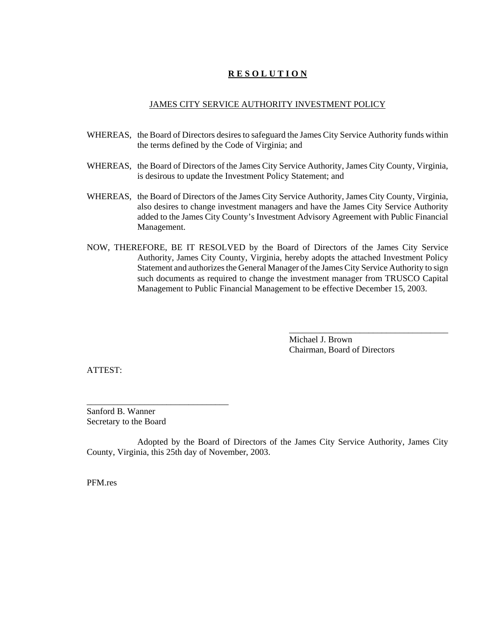## **R E S O L U T I O N**

#### JAMES CITY SERVICE AUTHORITY INVESTMENT POLICY

- WHEREAS, the Board of Directors desires to safeguard the James City Service Authority funds within the terms defined by the Code of Virginia; and
- WHEREAS, the Board of Directors of the James City Service Authority, James City County, Virginia, is desirous to update the Investment Policy Statement; and
- WHEREAS, the Board of Directors of the James City Service Authority, James City County, Virginia, also desires to change investment managers and have the James City Service Authority added to the James City County's Investment Advisory Agreement with Public Financial Management.
- NOW, THEREFORE, BE IT RESOLVED by the Board of Directors of the James City Service Authority, James City County, Virginia, hereby adopts the attached Investment Policy Statement and authorizes the General Manager of the James City Service Authority to sign such documents as required to change the investment manager from TRUSCO Capital Management to Public Financial Management to be effective December 15, 2003.

Michael J. Brown Chairman, Board of Directors

\_\_\_\_\_\_\_\_\_\_\_\_\_\_\_\_\_\_\_\_\_\_\_\_\_\_\_\_\_\_\_\_\_\_\_\_

ATTEST:

Sanford B. Wanner Secretary to the Board

\_\_\_\_\_\_\_\_\_\_\_\_\_\_\_\_\_\_\_\_\_\_\_\_\_\_\_\_\_\_\_\_

Adopted by the Board of Directors of the James City Service Authority, James City County, Virginia, this 25th day of November, 2003.

PFM.res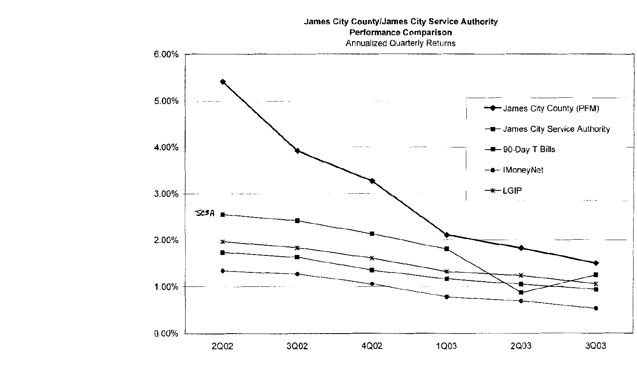# **James City County/James City Service Authority Performance Comparison Annualized Quarterly Returns**

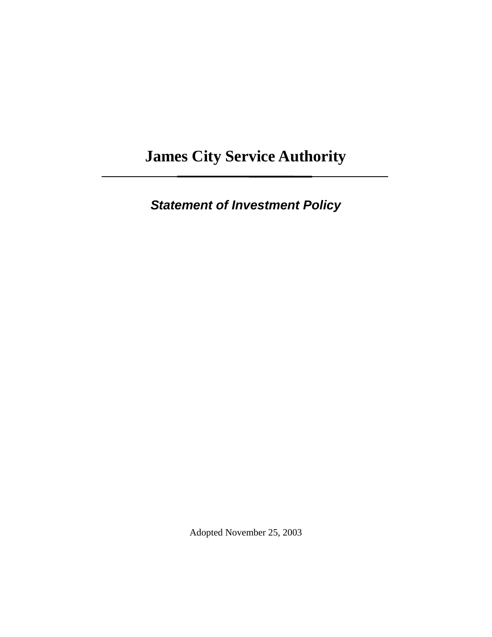# **James City Service Authority**

*Statement of Investment Policy* 

Adopted November 25, 2003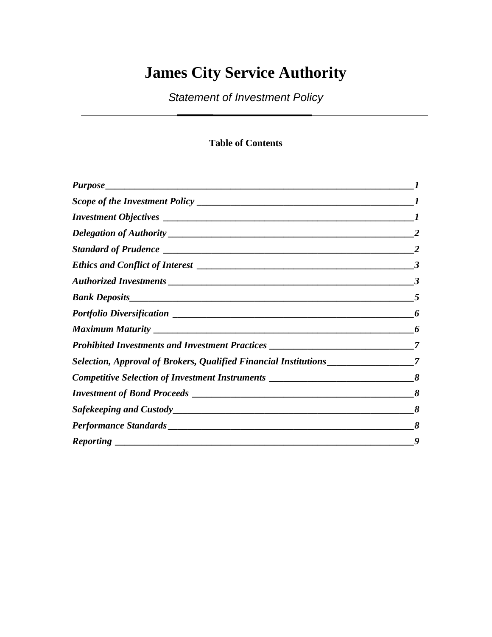# **James City Service Authority**

*Statement of Investment Policy* 

## **Table of Contents**

|                                                                                    | 3 |
|------------------------------------------------------------------------------------|---|
|                                                                                    | 5 |
|                                                                                    | 6 |
|                                                                                    | 6 |
| Prohibited Investments and Investment Practices _________________________________7 |   |
| Selection, Approval of Brokers, Qualified Financial Institutions _______________   | 7 |
| Competitive Selection of Investment Instruments ________________________________   | 8 |
|                                                                                    | 8 |
|                                                                                    | 8 |
|                                                                                    | 8 |
|                                                                                    | 9 |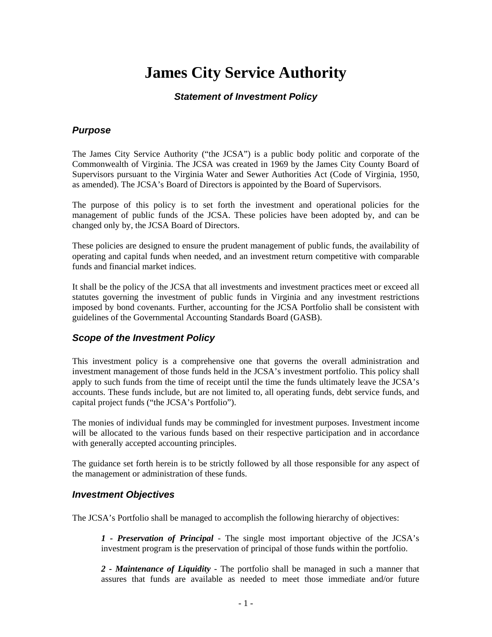# **James City Service Authority**

## *Statement of Investment Policy*

## *Purpose*

The James City Service Authority ("the JCSA") is a public body politic and corporate of the Commonwealth of Virginia. The JCSA was created in 1969 by the James City County Board of Supervisors pursuant to the Virginia Water and Sewer Authorities Act (Code of Virginia, 1950, as amended). The JCSA's Board of Directors is appointed by the Board of Supervisors.

The purpose of this policy is to set forth the investment and operational policies for the management of public funds of the JCSA. These policies have been adopted by, and can be changed only by, the JCSA Board of Directors.

These policies are designed to ensure the prudent management of public funds, the availability of operating and capital funds when needed, and an investment return competitive with comparable funds and financial market indices.

It shall be the policy of the JCSA that all investments and investment practices meet or exceed all statutes governing the investment of public funds in Virginia and any investment restrictions imposed by bond covenants. Further, accounting for the JCSA Portfolio shall be consistent with guidelines of the Governmental Accounting Standards Board (GASB).

## *Scope of the Investment Policy*

This investment policy is a comprehensive one that governs the overall administration and investment management of those funds held in the JCSA's investment portfolio. This policy shall apply to such funds from the time of receipt until the time the funds ultimately leave the JCSA's accounts. These funds include, but are not limited to, all operating funds, debt service funds, and capital project funds ("the JCSA's Portfolio").

The monies of individual funds may be commingled for investment purposes. Investment income will be allocated to the various funds based on their respective participation and in accordance with generally accepted accounting principles.

The guidance set forth herein is to be strictly followed by all those responsible for any aspect of the management or administration of these funds.

## *Investment Objectives*

The JCSA's Portfolio shall be managed to accomplish the following hierarchy of objectives:

*1 - Preservation of Principal* - The single most important objective of the JCSA's investment program is the preservation of principal of those funds within the portfolio.

*2 - Maintenance of Liquidity* - The portfolio shall be managed in such a manner that assures that funds are available as needed to meet those immediate and/or future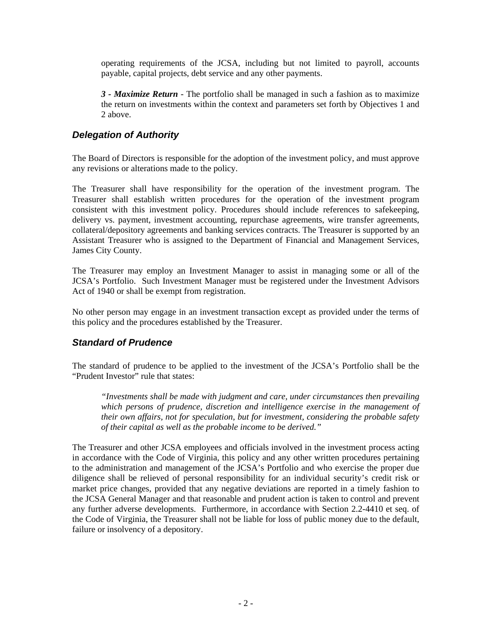operating requirements of the JCSA, including but not limited to payroll, accounts payable, capital projects, debt service and any other payments.

*3 - Maximize Return* - The portfolio shall be managed in such a fashion as to maximize the return on investments within the context and parameters set forth by Objectives 1 and 2 above.

## *Delegation of Authority*

The Board of Directors is responsible for the adoption of the investment policy, and must approve any revisions or alterations made to the policy.

The Treasurer shall have responsibility for the operation of the investment program. The Treasurer shall establish written procedures for the operation of the investment program consistent with this investment policy. Procedures should include references to safekeeping, delivery vs. payment, investment accounting, repurchase agreements, wire transfer agreements, collateral/depository agreements and banking services contracts. The Treasurer is supported by an Assistant Treasurer who is assigned to the Department of Financial and Management Services, James City County.

The Treasurer may employ an Investment Manager to assist in managing some or all of the JCSA's Portfolio. Such Investment Manager must be registered under the Investment Advisors Act of 1940 or shall be exempt from registration.

No other person may engage in an investment transaction except as provided under the terms of this policy and the procedures established by the Treasurer.

## *Standard of Prudence*

The standard of prudence to be applied to the investment of the JCSA's Portfolio shall be the "Prudent Investor" rule that states:

*"Investments shall be made with judgment and care, under circumstances then prevailing which persons of prudence, discretion and intelligence exercise in the management of their own affairs, not for speculation, but for investment, considering the probable safety of their capital as well as the probable income to be derived."*

The Treasurer and other JCSA employees and officials involved in the investment process acting in accordance with the Code of Virginia, this policy and any other written procedures pertaining to the administration and management of the JCSA's Portfolio and who exercise the proper due diligence shall be relieved of personal responsibility for an individual security's credit risk or market price changes, provided that any negative deviations are reported in a timely fashion to the JCSA General Manager and that reasonable and prudent action is taken to control and prevent any further adverse developments. Furthermore, in accordance with Section 2.2-4410 et seq. of the Code of Virginia, the Treasurer shall not be liable for loss of public money due to the default, failure or insolvency of a depository.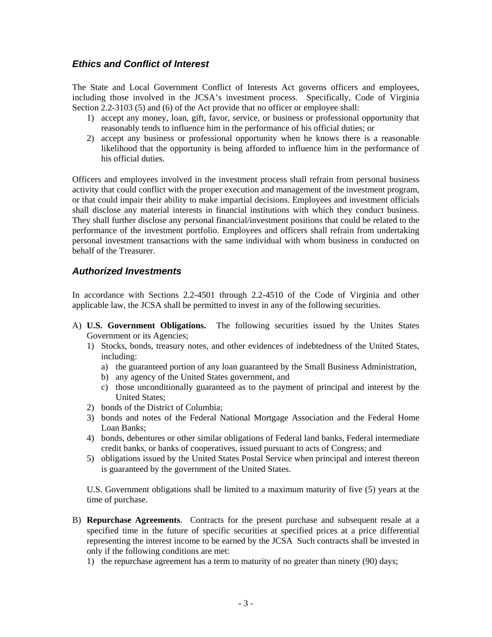## *Ethics and Conflict of Interest*

The State and Local Government Conflict of Interests Act governs officers and employees, including those involved in the JCSA's investment process. Specifically, Code of Virginia Section 2.2-3103 (5) and (6) of the Act provide that no officer or employee shall:

- 1) accept any money, loan, gift, favor, service, or business or professional opportunity that reasonably tends to influence him in the performance of his official duties; or
- 2) accept any business or professional opportunity when he knows there is a reasonable likelihood that the opportunity is being afforded to influence him in the performance of his official duties.

Officers and employees involved in the investment process shall refrain from personal business activity that could conflict with the proper execution and management of the investment program, or that could impair their ability to make impartial decisions. Employees and investment officials shall disclose any material interests in financial institutions with which they conduct business. They shall further disclose any personal financial/investment positions that could be related to the performance of the investment portfolio. Employees and officers shall refrain from undertaking personal investment transactions with the same individual with whom business in conducted on behalf of the Treasurer.

## *Authorized Investments*

In accordance with Sections 2.2-4501 through 2.2-4510 of the Code of Virginia and other applicable law, the JCSA shall be permitted to invest in any of the following securities.

- A) **U.S. Government Obligations.** The following securities issued by the Unites States Government or its Agencies;
	- 1) Stocks, bonds, treasury notes, and other evidences of indebtedness of the United States, including:
		- a) the guaranteed portion of any loan guaranteed by the Small Business Administration,
		- b) any agency of the United States government, and
		- c) those unconditionally guaranteed as to the payment of principal and interest by the United States;
	- 2) bonds of the District of Columbia;
	- 3) bonds and notes of the Federal National Mortgage Association and the Federal Home Loan Banks;
	- 4) bonds, debentures or other similar obligations of Federal land banks, Federal intermediate credit banks, or banks of cooperatives, issued pursuant to acts of Congress; and
	- 5) obligations issued by the United States Postal Service when principal and interest thereon is guaranteed by the government of the United States.

U.S. Government obligations shall be limited to a maximum maturity of five (5) years at the time of purchase.

- B) **Repurchase Agreements**. Contracts for the present purchase and subsequent resale at a specified time in the future of specific securities at specified prices at a price differential representing the interest income to be earned by the JCSA Such contracts shall be invested in only if the following conditions are met:
	- 1) the repurchase agreement has a term to maturity of no greater than ninety (90) days;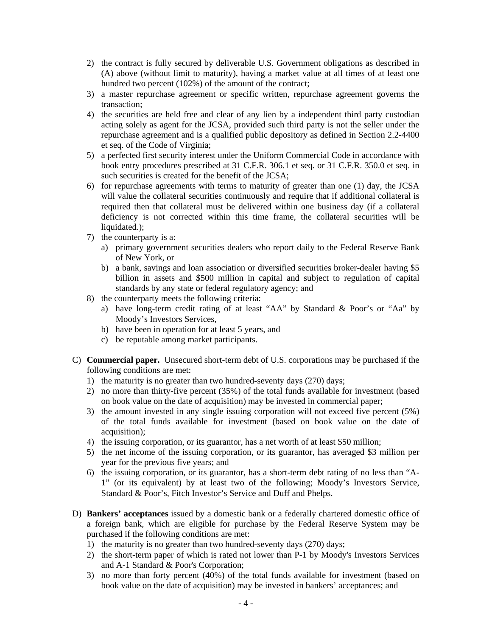- 2) the contract is fully secured by deliverable U.S. Government obligations as described in (A) above (without limit to maturity), having a market value at all times of at least one hundred two percent (102%) of the amount of the contract;
- 3) a master repurchase agreement or specific written, repurchase agreement governs the transaction;
- 4) the securities are held free and clear of any lien by a independent third party custodian acting solely as agent for the JCSA, provided such third party is not the seller under the repurchase agreement and is a qualified public depository as defined in Section 2.2-4400 et seq. of the Code of Virginia;
- 5) a perfected first security interest under the Uniform Commercial Code in accordance with book entry procedures prescribed at 31 C.F.R. 306.1 et seq. or 31 C.F.R. 350.0 et seq. in such securities is created for the benefit of the JCSA;
- 6) for repurchase agreements with terms to maturity of greater than one (1) day, the JCSA will value the collateral securities continuously and require that if additional collateral is required then that collateral must be delivered within one business day (if a collateral deficiency is not corrected within this time frame, the collateral securities will be liquidated.):
- 7) the counterparty is a:
	- a) primary government securities dealers who report daily to the Federal Reserve Bank of New York, or
	- b) a bank, savings and loan association or diversified securities broker-dealer having \$5 billion in assets and \$500 million in capital and subject to regulation of capital standards by any state or federal regulatory agency; and
- 8) the counterparty meets the following criteria:
	- a) have long-term credit rating of at least "AA" by Standard & Poor's or "Aa" by Moody's Investors Services,
	- b) have been in operation for at least 5 years, and
	- c) be reputable among market participants.
- C) **Commercial paper.** Unsecured short-term debt of U.S. corporations may be purchased if the following conditions are met:
	- 1) the maturity is no greater than two hundred-seventy days (270) days;
	- 2) no more than thirty-five percent (35%) of the total funds available for investment (based on book value on the date of acquisition) may be invested in commercial paper;
	- 3) the amount invested in any single issuing corporation will not exceed five percent (5%) of the total funds available for investment (based on book value on the date of acquisition);
	- 4) the issuing corporation, or its guarantor, has a net worth of at least \$50 million;
	- 5) the net income of the issuing corporation, or its guarantor, has averaged \$3 million per year for the previous five years; and
	- 6) the issuing corporation, or its guarantor, has a short-term debt rating of no less than "A-1" (or its equivalent) by at least two of the following; Moody's Investors Service, Standard & Poor's, Fitch Investor's Service and Duff and Phelps.
- D) **Bankers' acceptances** issued by a domestic bank or a federally chartered domestic office of a foreign bank, which are eligible for purchase by the Federal Reserve System may be purchased if the following conditions are met:
	- 1) the maturity is no greater than two hundred-seventy days (270) days;
	- 2) the short-term paper of which is rated not lower than P-1 by Moody's Investors Services and A-1 Standard & Poor's Corporation;
	- 3) no more than forty percent (40%) of the total funds available for investment (based on book value on the date of acquisition) may be invested in bankers' acceptances; and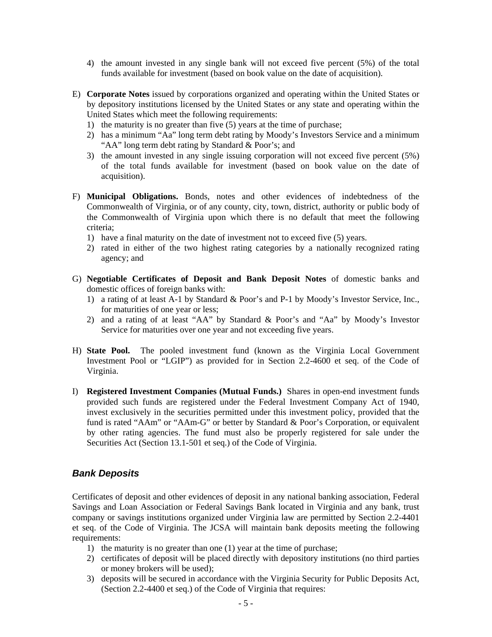- 4) the amount invested in any single bank will not exceed five percent (5%) of the total funds available for investment (based on book value on the date of acquisition).
- E) **Corporate Notes** issued by corporations organized and operating within the United States or by depository institutions licensed by the United States or any state and operating within the United States which meet the following requirements:
	- 1) the maturity is no greater than five (5) years at the time of purchase;
	- 2) has a minimum "Aa" long term debt rating by Moody's Investors Service and a minimum "AA" long term debt rating by Standard & Poor's; and
	- 3) the amount invested in any single issuing corporation will not exceed five percent (5%) of the total funds available for investment (based on book value on the date of acquisition).
- F) **Municipal Obligations.** Bonds, notes and other evidences of indebtedness of the Commonwealth of Virginia, or of any county, city, town, district, authority or public body of the Commonwealth of Virginia upon which there is no default that meet the following criteria;
	- 1) have a final maturity on the date of investment not to exceed five (5) years.
	- 2) rated in either of the two highest rating categories by a nationally recognized rating agency; and
- G) **Negotiable Certificates of Deposit and Bank Deposit Notes** of domestic banks and domestic offices of foreign banks with:
	- 1) a rating of at least A-1 by Standard & Poor's and P-1 by Moody's Investor Service, Inc., for maturities of one year or less;
	- 2) and a rating of at least "AA" by Standard & Poor's and "Aa" by Moody's Investor Service for maturities over one year and not exceeding five years.
- H) **State Pool.** The pooled investment fund (known as the Virginia Local Government Investment Pool or "LGIP") as provided for in Section 2.2-4600 et seq. of the Code of Virginia.
- I) **Registered Investment Companies (Mutual Funds.)** Shares in open-end investment funds provided such funds are registered under the Federal Investment Company Act of 1940, invest exclusively in the securities permitted under this investment policy, provided that the fund is rated "AAm" or "AAm-G" or better by Standard & Poor's Corporation, or equivalent by other rating agencies. The fund must also be properly registered for sale under the Securities Act (Section 13.1-501 et seq.) of the Code of Virginia.

## *Bank Deposits*

Certificates of deposit and other evidences of deposit in any national banking association, Federal Savings and Loan Association or Federal Savings Bank located in Virginia and any bank, trust company or savings institutions organized under Virginia law are permitted by Section 2.2-4401 et seq. of the Code of Virginia. The JCSA will maintain bank deposits meeting the following requirements:

- 1) the maturity is no greater than one (1) year at the time of purchase;
- 2) certificates of deposit will be placed directly with depository institutions (no third parties or money brokers will be used);
- 3) deposits will be secured in accordance with the Virginia Security for Public Deposits Act, (Section 2.2-4400 et seq.) of the Code of Virginia that requires: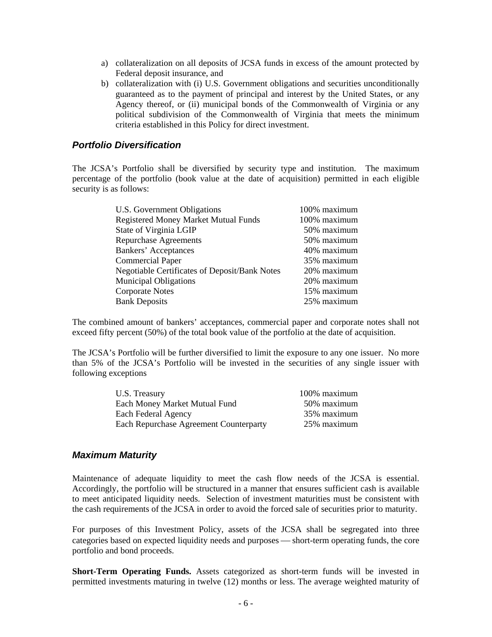- a) collateralization on all deposits of JCSA funds in excess of the amount protected by Federal deposit insurance, and
- b) collateralization with (i) U.S. Government obligations and securities unconditionally guaranteed as to the payment of principal and interest by the United States, or any Agency thereof, or (ii) municipal bonds of the Commonwealth of Virginia or any political subdivision of the Commonwealth of Virginia that meets the minimum criteria established in this Policy for direct investment.

### *Portfolio Diversification*

The JCSA's Portfolio shall be diversified by security type and institution. The maximum percentage of the portfolio (book value at the date of acquisition) permitted in each eligible security is as follows:

| U.S. Government Obligations                          | 100% maximum |
|------------------------------------------------------|--------------|
| <b>Registered Money Market Mutual Funds</b>          | 100% maximum |
| State of Virginia LGIP                               | 50% maximum  |
| <b>Repurchase Agreements</b>                         | 50% maximum  |
| <b>Bankers' Acceptances</b>                          | 40% maximum  |
| <b>Commercial Paper</b>                              | 35% maximum  |
| <b>Negotiable Certificates of Deposit/Bank Notes</b> | 20% maximum  |
| <b>Municipal Obligations</b>                         | 20% maximum  |
| <b>Corporate Notes</b>                               | 15% maximum  |
| <b>Bank Deposits</b>                                 | 25% maximum  |
|                                                      |              |

The combined amount of bankers' acceptances, commercial paper and corporate notes shall not exceed fifty percent (50%) of the total book value of the portfolio at the date of acquisition.

The JCSA's Portfolio will be further diversified to limit the exposure to any one issuer. No more than 5% of the JCSA's Portfolio will be invested in the securities of any single issuer with following exceptions

| U.S. Treasury                          | 100% maximum |
|----------------------------------------|--------------|
| Each Money Market Mutual Fund          | 50% maximum  |
| Each Federal Agency                    | 35% maximum  |
| Each Repurchase Agreement Counterparty | 25% maximum  |

#### *Maximum Maturity*

Maintenance of adequate liquidity to meet the cash flow needs of the JCSA is essential. Accordingly, the portfolio will be structured in a manner that ensures sufficient cash is available to meet anticipated liquidity needs. Selection of investment maturities must be consistent with the cash requirements of the JCSA in order to avoid the forced sale of securities prior to maturity.

For purposes of this Investment Policy, assets of the JCSA shall be segregated into three categories based on expected liquidity needs and purposes — short-term operating funds, the core portfolio and bond proceeds.

**Short-Term Operating Funds.** Assets categorized as short-term funds will be invested in permitted investments maturing in twelve (12) months or less. The average weighted maturity of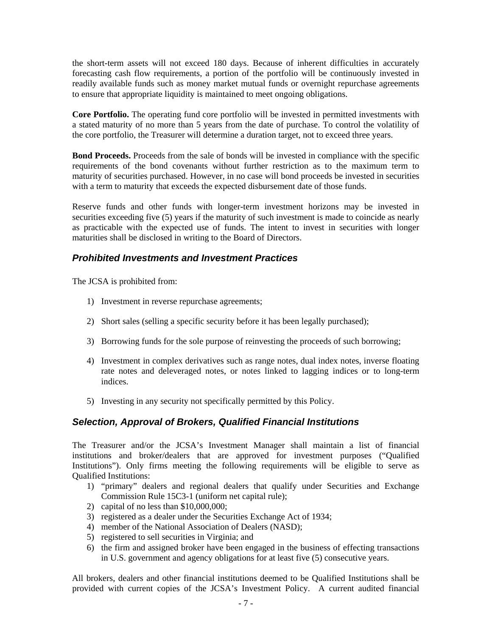the short-term assets will not exceed 180 days. Because of inherent difficulties in accurately forecasting cash flow requirements, a portion of the portfolio will be continuously invested in readily available funds such as money market mutual funds or overnight repurchase agreements to ensure that appropriate liquidity is maintained to meet ongoing obligations.

**Core Portfolio.** The operating fund core portfolio will be invested in permitted investments with a stated maturity of no more than 5 years from the date of purchase. To control the volatility of the core portfolio, the Treasurer will determine a duration target, not to exceed three years.

**Bond Proceeds.** Proceeds from the sale of bonds will be invested in compliance with the specific requirements of the bond covenants without further restriction as to the maximum term to maturity of securities purchased. However, in no case will bond proceeds be invested in securities with a term to maturity that exceeds the expected disbursement date of those funds.

Reserve funds and other funds with longer-term investment horizons may be invested in securities exceeding five (5) years if the maturity of such investment is made to coincide as nearly as practicable with the expected use of funds. The intent to invest in securities with longer maturities shall be disclosed in writing to the Board of Directors.

## *Prohibited Investments and Investment Practices*

The JCSA is prohibited from:

- 1) Investment in reverse repurchase agreements;
- 2) Short sales (selling a specific security before it has been legally purchased);
- 3) Borrowing funds for the sole purpose of reinvesting the proceeds of such borrowing;
- 4) Investment in complex derivatives such as range notes, dual index notes, inverse floating rate notes and deleveraged notes, or notes linked to lagging indices or to long-term indices.
- 5) Investing in any security not specifically permitted by this Policy.

## *Selection, Approval of Brokers, Qualified Financial Institutions*

The Treasurer and/or the JCSA's Investment Manager shall maintain a list of financial institutions and broker/dealers that are approved for investment purposes ("Qualified Institutions"). Only firms meeting the following requirements will be eligible to serve as Qualified Institutions:

- 1) "primary" dealers and regional dealers that qualify under Securities and Exchange Commission Rule 15C3-1 (uniform net capital rule);
- 2) capital of no less than \$10,000,000;
- 3) registered as a dealer under the Securities Exchange Act of 1934;
- 4) member of the National Association of Dealers (NASD);
- 5) registered to sell securities in Virginia; and
- 6) the firm and assigned broker have been engaged in the business of effecting transactions in U.S. government and agency obligations for at least five (5) consecutive years.

All brokers, dealers and other financial institutions deemed to be Qualified Institutions shall be provided with current copies of the JCSA's Investment Policy. A current audited financial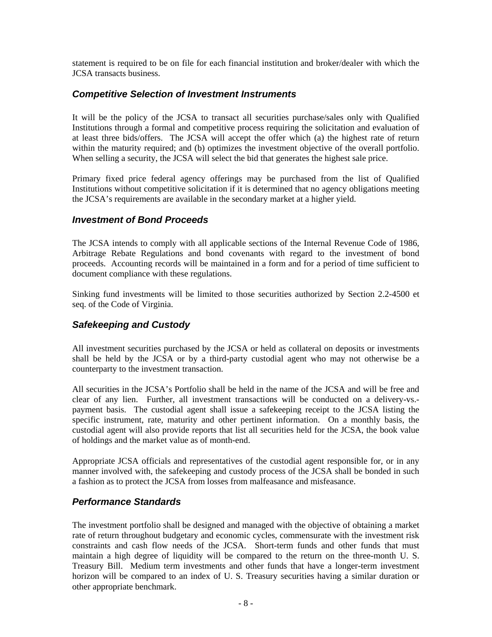statement is required to be on file for each financial institution and broker/dealer with which the JCSA transacts business.

## *Competitive Selection of Investment Instruments*

It will be the policy of the JCSA to transact all securities purchase/sales only with Qualified Institutions through a formal and competitive process requiring the solicitation and evaluation of at least three bids/offers. The JCSA will accept the offer which (a) the highest rate of return within the maturity required; and (b) optimizes the investment objective of the overall portfolio. When selling a security, the JCSA will select the bid that generates the highest sale price.

Primary fixed price federal agency offerings may be purchased from the list of Qualified Institutions without competitive solicitation if it is determined that no agency obligations meeting the JCSA's requirements are available in the secondary market at a higher yield.

## *Investment of Bond Proceeds*

The JCSA intends to comply with all applicable sections of the Internal Revenue Code of 1986, Arbitrage Rebate Regulations and bond covenants with regard to the investment of bond proceeds. Accounting records will be maintained in a form and for a period of time sufficient to document compliance with these regulations.

Sinking fund investments will be limited to those securities authorized by Section 2.2-4500 et seq. of the Code of Virginia.

## *Safekeeping and Custody*

All investment securities purchased by the JCSA or held as collateral on deposits or investments shall be held by the JCSA or by a third-party custodial agent who may not otherwise be a counterparty to the investment transaction.

All securities in the JCSA's Portfolio shall be held in the name of the JCSA and will be free and clear of any lien. Further, all investment transactions will be conducted on a delivery-vs. payment basis. The custodial agent shall issue a safekeeping receipt to the JCSA listing the specific instrument, rate, maturity and other pertinent information. On a monthly basis, the custodial agent will also provide reports that list all securities held for the JCSA, the book value of holdings and the market value as of month-end.

Appropriate JCSA officials and representatives of the custodial agent responsible for, or in any manner involved with, the safekeeping and custody process of the JCSA shall be bonded in such a fashion as to protect the JCSA from losses from malfeasance and misfeasance.

## *Performance Standards*

The investment portfolio shall be designed and managed with the objective of obtaining a market rate of return throughout budgetary and economic cycles, commensurate with the investment risk constraints and cash flow needs of the JCSA. Short-term funds and other funds that must maintain a high degree of liquidity will be compared to the return on the three-month U. S. Treasury Bill. Medium term investments and other funds that have a longer-term investment horizon will be compared to an index of U. S. Treasury securities having a similar duration or other appropriate benchmark.